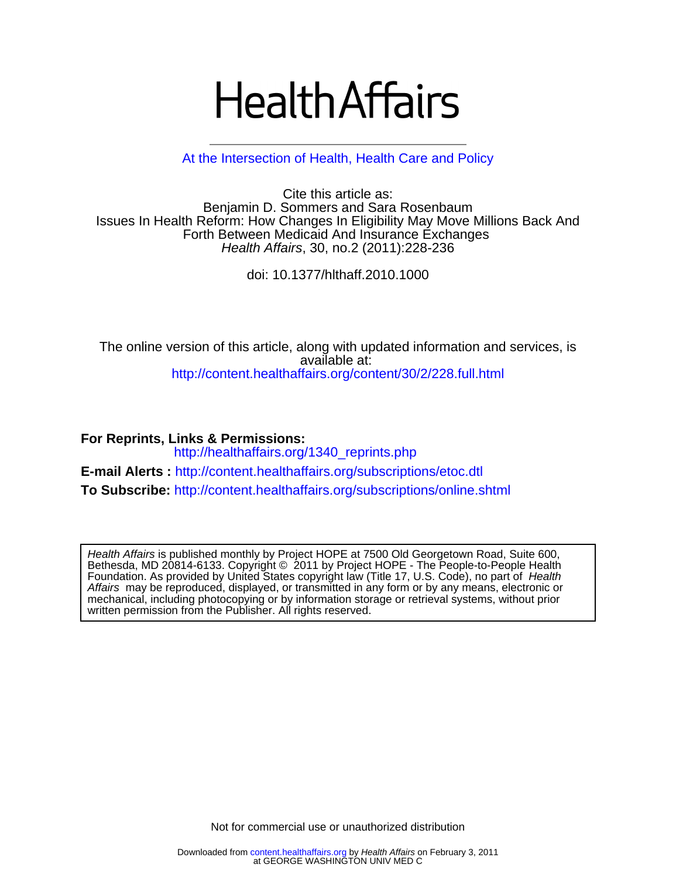# **Health Affairs**

[At the Intersection of Health, Health Care and Policy](http://www.healthaffairs.org)

Health Affairs, 30, no.2 (2011):228-236 Forth Between Medicaid And Insurance Exchanges Issues In Health Reform: How Changes In Eligibility May Move Millions Back And Benjamin D. Sommers and Sara Rosenbaum Cite this article as:

doi: 10.1377/hlthaff.2010.1000

<http://content.healthaffairs.org/content/30/2/228.full.html> available at: The online version of this article, along with updated information and services, is

**For Reprints, Links & Permissions:**  [http://healthaffairs.org/1340\\_reprints.php](http://healthaffairs.org/1340_reprints.php) **E-mail Alerts :** <http://content.healthaffairs.org/subscriptions/etoc.dtl> **To Subscribe:** <http://content.healthaffairs.org/subscriptions/online.shtml>

written permission from the Publisher. All rights reserved. mechanical, including photocopying or by information storage or retrieval systems, without prior Affairs may be reproduced, displayed, or transmitted in any form or by any means, electronic or Foundation. As provided by United States copyright law (Title 17, U.S. Code), no part of Health Bethesda, MD 20814-6133. Copyright © 2011 by Project HOPE - The People-to-People Health Health Affairs is published monthly by Project HOPE at 7500 Old Georgetown Road, Suite 600,

Not for commercial use or unauthorized distribution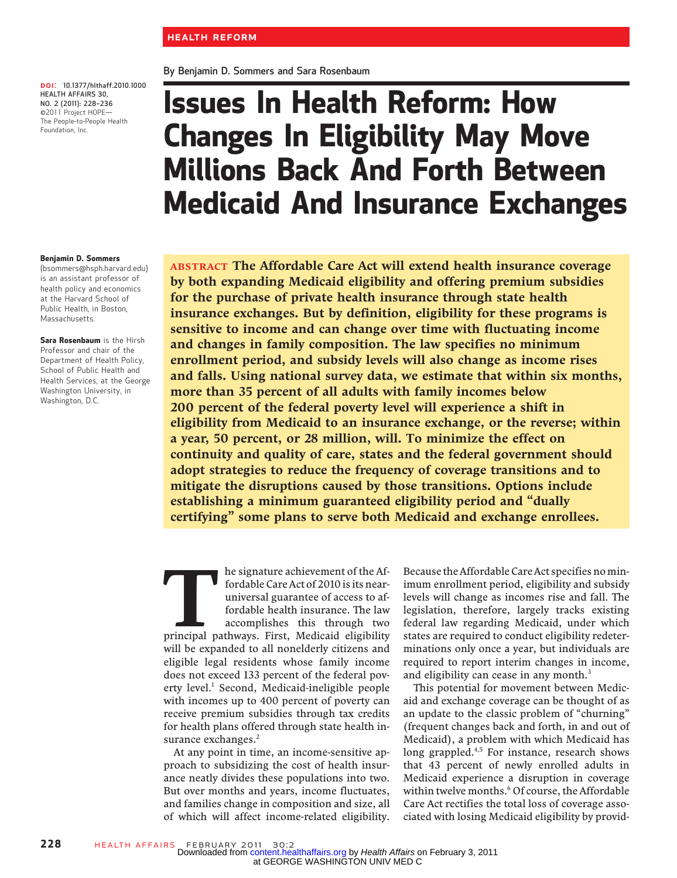By Benjamin D. Sommers and Sara Rosenbaum

DOI: 10.1377/hlthaff.2010.1000 **DOI:** 10.1377/hlthaff.<br>HEALTH AFFAIRS 30,<br>NO. 2 (2011): 228–236 NO. 2 (2011): 228-236<br>©2011 Project HOPE— The People-to-People Health Foundation, Inc.

## Issues In Health Reform: How Changes In Eligibility May Move Millions Back And Forth Between Medicaid And Insurance Exchanges

ABSTRACT The Affordable Care Act will extend health insurance coverage by both expanding Medicaid eligibility and offering premium subsidies for the purchase of private health insurance through state health insurance exchanges. But by definition, eligibility for these programs is sensitive to income and can change over time with fluctuating income and changes in family composition. The law specifies no minimum enrollment period, and subsidy levels will also change as income rises and falls. Using national survey data, we estimate that within six months, more than 35 percent of all adults with family incomes below 200 percent of the federal poverty level will experience a shift in eligibility from Medicaid to an insurance exchange, or the reverse; within a year, 50 percent, or 28 million, will. To minimize the effect on continuity and quality of care, states and the federal government should adopt strategies to reduce the frequency of coverage transitions and to mitigate the disruptions caused by those transitions. Options include establishing a minimum guaranteed eligibility period and "dually certifying" some plans to serve both Medicaid and exchange enrollees.

The signature achievement of the Affordable Care Act of 2010 is its near-<br>universal guarantee of access to affordable health insurance. The law<br>accomplishes this through two<br>principal pathways. First, Medicaid eligibility fordable Care Act of 2010 is its nearuniversal guarantee of access to affordable health insurance. The law accomplishes this through two will be expanded to all nonelderly citizens and eligible legal residents whose family income does not exceed 133 percent of the federal poverty level.<sup>1</sup> Second, Medicaid-ineligible people with incomes up to 400 percent of poverty can receive premium subsidies through tax credits for health plans offered through state health insurance exchanges.<sup>2</sup>

At any point in time, an income-sensitive approach to subsidizing the cost of health insurance neatly divides these populations into two. But over months and years, income fluctuates, and families change in composition and size, all of which will affect income-related eligibility.

Because the Affordable Care Act specifies no minimum enrollment period, eligibility and subsidy levels will change as incomes rise and fall. The legislation, therefore, largely tracks existing federal law regarding Medicaid, under which states are required to conduct eligibility redeterminations only once a year, but individuals are required to report interim changes in income, and eligibility can cease in any month.<sup>3</sup>

This potential for movement between Medicaid and exchange coverage can be thought of as an update to the classic problem of "churning" (frequent changes back and forth, in and out of Medicaid), a problem with which Medicaid has long grappled.<sup>4,5</sup> For instance, research shows that 43 percent of newly enrolled adults in Medicaid experience a disruption in coverage within twelve months.<sup>6</sup> Of course, the Affordable Care Act rectifies the total loss of coverage associated with losing Medicaid eligibility by provid-

Benjamin D. Sommers

(bsommers@hsph.harvard.edu) is an assistant professor of health policy and economics at the Harvard School of Public Health, in Boston, Massachusetts.

Sara Rosenbaum is the Hirsh Professor and chair of the Department of Health Policy, School of Public Health and Health Services, at the George Washington University, in Washington, D.C.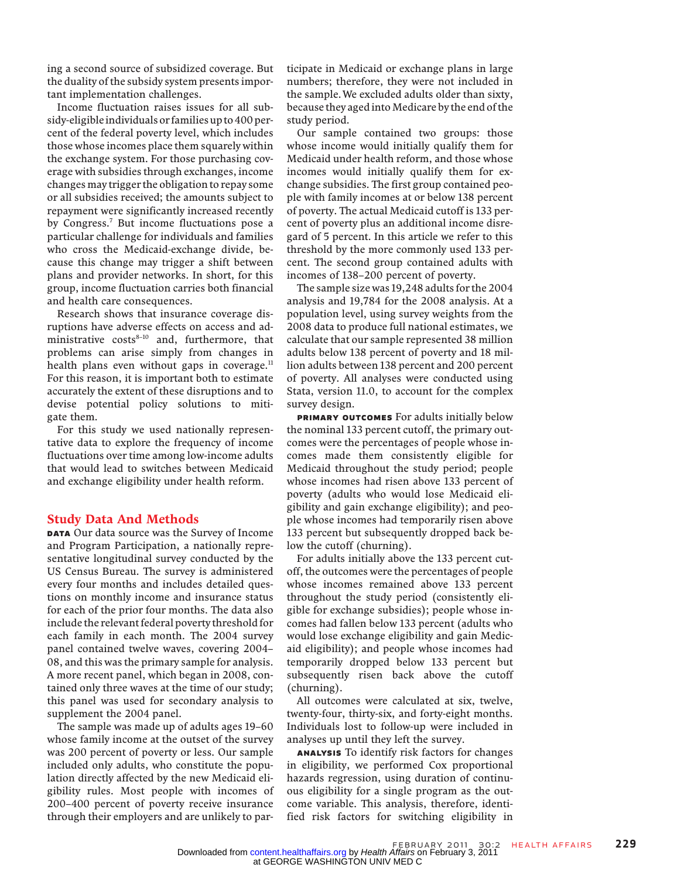ing a second source of subsidized coverage. But the duality of the subsidy system presents important implementation challenges.

Income fluctuation raises issues for all subsidy-eligible individuals or families up to 400 percent of the federal poverty level, which includes those whose incomes place them squarely within the exchange system. For those purchasing coverage with subsidies through exchanges, income changes may trigger the obligation to repay some or all subsidies received; the amounts subject to repayment were significantly increased recently by Congress.<sup>7</sup> But income fluctuations pose a particular challenge for individuals and families who cross the Medicaid-exchange divide, because this change may trigger a shift between plans and provider networks. In short, for this group, income fluctuation carries both financial and health care consequences.

Research shows that insurance coverage disruptions have adverse effects on access and administrative  $costs<sup>8-10</sup>$  and, furthermore, that problems can arise simply from changes in health plans even without gaps in coverage. $11$ For this reason, it is important both to estimate accurately the extent of these disruptions and to devise potential policy solutions to mitigate them.

For this study we used nationally representative data to explore the frequency of income fluctuations over time among low-income adults that would lead to switches between Medicaid and exchange eligibility under health reform.

#### Study Data And Methods

DATA Our data source was the Survey of Income and Program Participation, a nationally representative longitudinal survey conducted by the US Census Bureau. The survey is administered every four months and includes detailed questions on monthly income and insurance status for each of the prior four months. The data also include the relevant federal poverty threshold for each family in each month. The 2004 survey panel contained twelve waves, covering 2004– 08, and this was the primary sample for analysis. A more recent panel, which began in 2008, contained only three waves at the time of our study; this panel was used for secondary analysis to supplement the 2004 panel.

The sample was made up of adults ages 19–60 whose family income at the outset of the survey was 200 percent of poverty or less. Our sample included only adults, who constitute the population directly affected by the new Medicaid eligibility rules. Most people with incomes of 200–400 percent of poverty receive insurance through their employers and are unlikely to participate in Medicaid or exchange plans in large numbers; therefore, they were not included in the sample.We excluded adults older than sixty, because they aged into Medicare by the end of the study period.

Our sample contained two groups: those whose income would initially qualify them for Medicaid under health reform, and those whose incomes would initially qualify them for exchange subsidies. The first group contained people with family incomes at or below 138 percent of poverty. The actual Medicaid cutoff is 133 percent of poverty plus an additional income disregard of 5 percent. In this article we refer to this threshold by the more commonly used 133 percent. The second group contained adults with incomes of 138–200 percent of poverty.

The sample size was 19,248 adults for the 2004 analysis and 19,784 for the 2008 analysis. At a population level, using survey weights from the 2008 data to produce full national estimates, we calculate that our sample represented 38 million adults below 138 percent of poverty and 18 million adults between 138 percent and 200 percent of poverty. All analyses were conducted using Stata, version 11.0, to account for the complex survey design.

PRIMARY OUTCOMES For adults initially below the nominal 133 percent cutoff, the primary outcomes were the percentages of people whose incomes made them consistently eligible for Medicaid throughout the study period; people whose incomes had risen above 133 percent of poverty (adults who would lose Medicaid eligibility and gain exchange eligibility); and people whose incomes had temporarily risen above 133 percent but subsequently dropped back below the cutoff (churning).

For adults initially above the 133 percent cutoff, the outcomes were the percentages of people whose incomes remained above 133 percent throughout the study period (consistently eligible for exchange subsidies); people whose incomes had fallen below 133 percent (adults who would lose exchange eligibility and gain Medicaid eligibility); and people whose incomes had temporarily dropped below 133 percent but subsequently risen back above the cutoff (churning).

All outcomes were calculated at six, twelve, twenty-four, thirty-six, and forty-eight months. Individuals lost to follow-up were included in analyses up until they left the survey.

Analysis To identify risk factors for changes in eligibility, we performed Cox proportional hazards regression, using duration of continuous eligibility for a single program as the outcome variable. This analysis, therefore, identified risk factors for switching eligibility in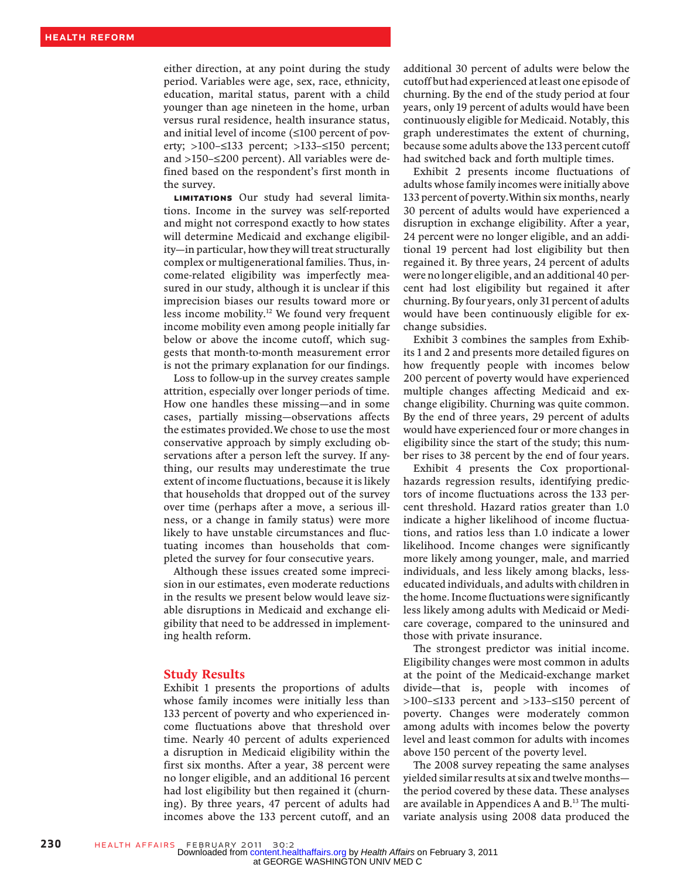either direction, at any point during the study period. Variables were age, sex, race, ethnicity, education, marital status, parent with a child younger than age nineteen in the home, urban versus rural residence, health insurance status, and initial level of income (≤100 percent of poverty; >100–≤133 percent; >133–≤150 percent; and >150–≤200 percent). All variables were defined based on the respondent's first month in the survey.

Limitations Our study had several limitations. Income in the survey was self-reported and might not correspond exactly to how states will determine Medicaid and exchange eligibility—in particular, how they will treat structurally complex or multigenerational families. Thus, income-related eligibility was imperfectly measured in our study, although it is unclear if this imprecision biases our results toward more or less income mobility.12 We found very frequent income mobility even among people initially far below or above the income cutoff, which suggests that month-to-month measurement error is not the primary explanation for our findings.

Loss to follow-up in the survey creates sample attrition, especially over longer periods of time. How one handles these missing—and in some cases, partially missing—observations affects the estimates provided.We chose to use the most conservative approach by simply excluding observations after a person left the survey. If anything, our results may underestimate the true extent of income fluctuations, because it is likely that households that dropped out of the survey over time (perhaps after a move, a serious illness, or a change in family status) were more likely to have unstable circumstances and fluctuating incomes than households that completed the survey for four consecutive years.

Although these issues created some imprecision in our estimates, even moderate reductions in the results we present below would leave sizable disruptions in Medicaid and exchange eligibility that need to be addressed in implementing health reform.

#### Study Results

Exhibit 1 presents the proportions of adults whose family incomes were initially less than 133 percent of poverty and who experienced income fluctuations above that threshold over time. Nearly 40 percent of adults experienced a disruption in Medicaid eligibility within the first six months. After a year, 38 percent were no longer eligible, and an additional 16 percent had lost eligibility but then regained it (churning). By three years, 47 percent of adults had incomes above the 133 percent cutoff, and an

additional 30 percent of adults were below the cutoff but had experienced at least one episode of churning. By the end of the study period at four years, only 19 percent of adults would have been continuously eligible for Medicaid. Notably, this graph underestimates the extent of churning, because some adults above the 133 percent cutoff had switched back and forth multiple times.

Exhibit 2 presents income fluctuations of adults whose family incomes were initially above 133 percent of poverty.Within six months, nearly 30 percent of adults would have experienced a disruption in exchange eligibility. After a year, 24 percent were no longer eligible, and an additional 19 percent had lost eligibility but then regained it. By three years, 24 percent of adults were no longer eligible, and an additional 40 percent had lost eligibility but regained it after churning. By four years, only 31 percent of adults would have been continuously eligible for exchange subsidies.

Exhibit 3 combines the samples from Exhibits 1 and 2 and presents more detailed figures on how frequently people with incomes below 200 percent of poverty would have experienced multiple changes affecting Medicaid and exchange eligibility. Churning was quite common. By the end of three years, 29 percent of adults would have experienced four or more changes in eligibility since the start of the study; this number rises to 38 percent by the end of four years.

Exhibit 4 presents the Cox proportionalhazards regression results, identifying predictors of income fluctuations across the 133 percent threshold. Hazard ratios greater than 1.0 indicate a higher likelihood of income fluctuations, and ratios less than 1.0 indicate a lower likelihood. Income changes were significantly more likely among younger, male, and married individuals, and less likely among blacks, lesseducated individuals, and adults with children in the home. Income fluctuations were significantly less likely among adults with Medicaid or Medicare coverage, compared to the uninsured and those with private insurance.

The strongest predictor was initial income. Eligibility changes were most common in adults at the point of the Medicaid-exchange market divide—that is, people with incomes of >100–≤133 percent and >133–≤150 percent of poverty. Changes were moderately common among adults with incomes below the poverty level and least common for adults with incomes above 150 percent of the poverty level.

The 2008 survey repeating the same analyses yielded similar results at six and twelve months the period covered by these data. These analyses are available in Appendices A and B.<sup>13</sup> The multivariate analysis using 2008 data produced the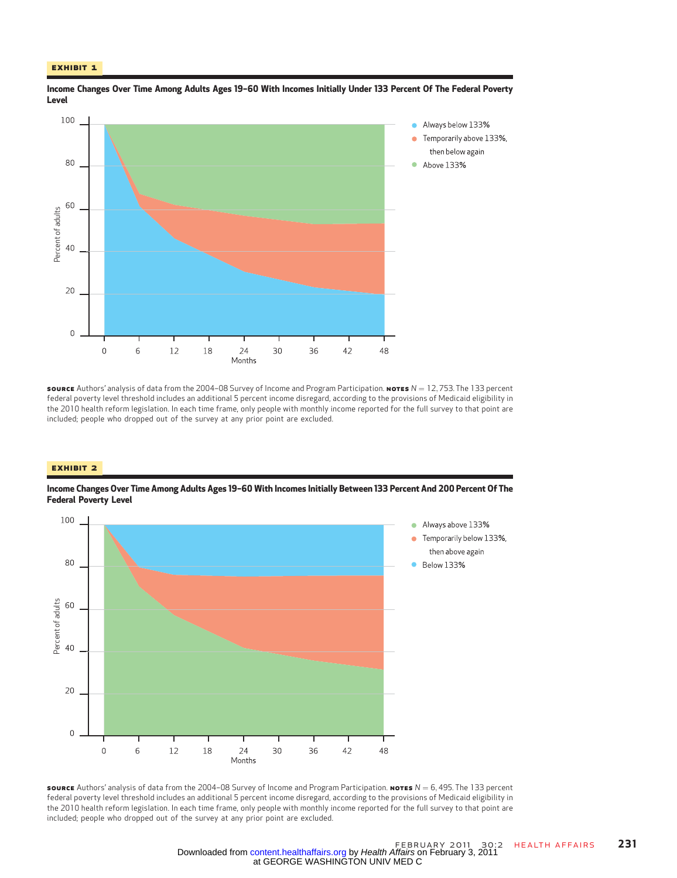#### Exhibit 1



Income Changes Over Time Among Adults Ages 19–60 With Incomes Initially Under 133 Percent Of The Federal Poverty Level

source Authors' analysis of data from the 2004–08 Survey of Income and Program Participation. Notes  $N = 12,753$ . The 133 percent federal poverty level threshold includes an additional 5 percent income disregard, according to the provisions of Medicaid eligibility in the 2010 health reform legislation. In each time frame, only people with monthly income reported for the full survey to that point are included; people who dropped out of the survey at any prior point are excluded.

#### Exhibit 2

Income Changes Over Time Among Adults Ages 19–60 With Incomes Initially Between 133 Percent And 200 Percent Of The Federal Poverty Level



**SOURCE** Authors' analysis of data from the 2004–08 Survey of Income and Program Participation. NoTES  $N = 6,495$ . The 133 percent federal poverty level threshold includes an additional 5 percent income disregard, according to the provisions of Medicaid eligibility in the 2010 health reform legislation. In each time frame, only people with monthly income reported for the full survey to that point are included; people who dropped out of the survey at any prior point are excluded.

at GEORGE WASHINGTON UNIV MED C Downloaded from [content.healthaffairs.org](http://content.healthaffairs.org/) by Health Affairs on February 3, 2011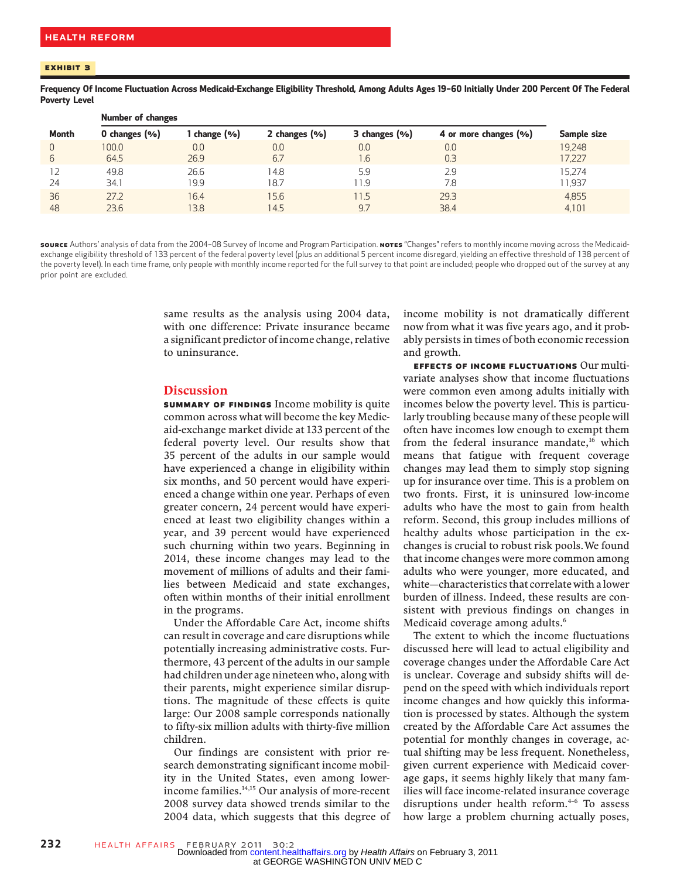Frequency Of Income Fluctuation Across Medicaid-Exchange Eligibility Threshold, Among Adults Ages 19–60 Initially Under 200 Percent Of The Federal Poverty Level

|              | <b>Number of changes</b> |            |               |               |                       |             |
|--------------|--------------------------|------------|---------------|---------------|-----------------------|-------------|
| <b>Month</b> | 0 changes (%)            | change (%) | 2 changes (%) | 3 changes (%) | 4 or more changes (%) | Sample size |
| $\Omega$     | 100.0                    | 0.0        | 0.0           | 0.0           | 0.0                   | 19,248      |
| 6            | 64.5                     | 26.9       | 6.7           | .6            | 0.3                   | 17,227      |
|              | 49.8                     | 26.6       | 14.8          | 5.9           | 2.9                   | 15,274      |
| 24           | 34.1                     | 19.9       | 18.7          | 11.9          | 7.8                   | 11,937      |
| 36           | 27.2                     | 16.4       | 15.6          | 11.5          | 29.3                  | 4,855       |
| 48           | 23.6                     | 13.8       | 14.5          | 9.7           | 38.4                  | 4,101       |

source Authors' analysis of data from the 2004-08 Survey of Income and Program Participation. Notes "Changes" refers to monthly income moving across the Medicaidexchange eligibility threshold of 133 percent of the federal poverty level (plus an additional 5 percent income disregard, yielding an effective threshold of 138 percent of the poverty level). In each time frame, only people with monthly income reported for the full survey to that point are included; people who dropped out of the survey at any prior point are excluded.

> same results as the analysis using 2004 data, with one difference: Private insurance became a significant predictor of income change, relative to uninsurance.

#### Discussion

Summary Of Findings Income mobility is quite common across what will become the key Medicaid-exchange market divide at 133 percent of the federal poverty level. Our results show that 35 percent of the adults in our sample would have experienced a change in eligibility within six months, and 50 percent would have experienced a change within one year. Perhaps of even greater concern, 24 percent would have experienced at least two eligibility changes within a year, and 39 percent would have experienced such churning within two years. Beginning in 2014, these income changes may lead to the movement of millions of adults and their families between Medicaid and state exchanges, often within months of their initial enrollment in the programs.

Under the Affordable Care Act, income shifts can result in coverage and care disruptions while potentially increasing administrative costs. Furthermore, 43 percent of the adults in our sample had children under age nineteen who, along with their parents, might experience similar disruptions. The magnitude of these effects is quite large: Our 2008 sample corresponds nationally to fifty-six million adults with thirty-five million children.

Our findings are consistent with prior research demonstrating significant income mobility in the United States, even among lowerincome families.<sup>14,15</sup> Our analysis of more-recent 2008 survey data showed trends similar to the 2004 data, which suggests that this degree of income mobility is not dramatically different now from what it was five years ago, and it probably persists in times of both economic recession and growth.

Effects Of Income Fluctuations Our multivariate analyses show that income fluctuations were common even among adults initially with incomes below the poverty level. This is particularly troubling because many of these people will often have incomes low enough to exempt them from the federal insurance mandate,<sup>16</sup> which means that fatigue with frequent coverage changes may lead them to simply stop signing up for insurance over time. This is a problem on two fronts. First, it is uninsured low-income adults who have the most to gain from health reform. Second, this group includes millions of healthy adults whose participation in the exchanges is crucial to robust risk pools.We found that income changes were more common among adults who were younger, more educated, and white—characteristics that correlate with a lower burden of illness. Indeed, these results are consistent with previous findings on changes in Medicaid coverage among adults.<sup>6</sup>

The extent to which the income fluctuations discussed here will lead to actual eligibility and coverage changes under the Affordable Care Act is unclear. Coverage and subsidy shifts will depend on the speed with which individuals report income changes and how quickly this information is processed by states. Although the system created by the Affordable Care Act assumes the potential for monthly changes in coverage, actual shifting may be less frequent. Nonetheless, given current experience with Medicaid coverage gaps, it seems highly likely that many families will face income-related insurance coverage disruptions under health reform. $4-6$  To assess how large a problem churning actually poses,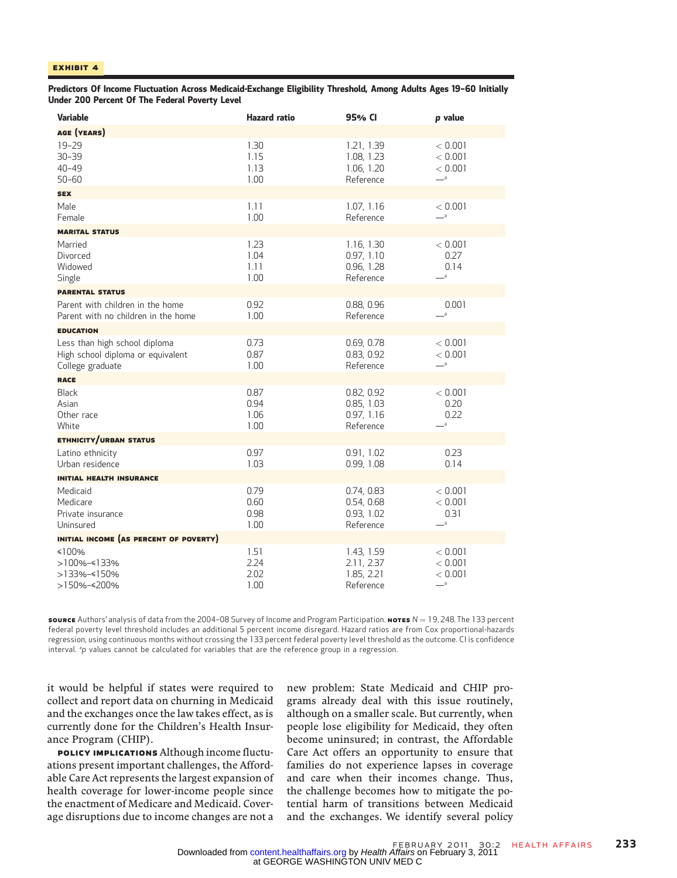Predictors Of Income Fluctuation Across Medicaid-Exchange Eligibility Threshold, Among Adults Ages 19–60 Initially Under 200 Percent Of The Federal Poverty Level

| <b>Variable</b>                                                                        | <b>Hazard</b> ratio          | 95% CI                                              | p value                                           |  |  |
|----------------------------------------------------------------------------------------|------------------------------|-----------------------------------------------------|---------------------------------------------------|--|--|
| AGE (YEARS)                                                                            |                              |                                                     |                                                   |  |  |
| $19 - 29$<br>$30 - 39$<br>$40 - 49$<br>$50 - 60$                                       | 1.30<br>1.15<br>1.13<br>1.00 | 1.21, 1.39<br>1.08, 1.23<br>1.06, 1.20<br>Reference | < 0.001<br>< 0.001<br>< 0.001<br>$-$ <sup>a</sup> |  |  |
| <b>SEX</b>                                                                             |                              |                                                     |                                                   |  |  |
| Male<br>Female                                                                         | 1.11<br>1.00                 | 1.07, 1.16<br>Reference                             | < 0.001<br>$-$ a                                  |  |  |
| <b>MARITAL STATUS</b>                                                                  |                              |                                                     |                                                   |  |  |
| Married<br>Divorced<br>Widowed<br>Single                                               | 1.23<br>1.04<br>1.11<br>1.00 | 1.16, 1.30<br>0.97, 1.10<br>0.96, 1.28<br>Reference | < 0.001<br>0.27<br>0.14<br>$-{}^a$                |  |  |
| <b>PARENTAL STATUS</b>                                                                 |                              |                                                     |                                                   |  |  |
| Parent with children in the home<br>Parent with no children in the home                | 0.92<br>1.00                 | 0.88, 0.96<br>Reference                             | 0.001<br>$\overline{\phantom{a}}$                 |  |  |
| <b>EDUCATION</b>                                                                       |                              |                                                     |                                                   |  |  |
| Less than high school diploma<br>High school diploma or equivalent<br>College graduate | 0.73<br>0.87<br>1.00         | 0.69, 0.78<br>0.83, 0.92<br>Reference               | < 0.001<br>< 0.001<br>$-$ <sup>a</sup>            |  |  |
| <b>RACE</b>                                                                            |                              |                                                     |                                                   |  |  |
| <b>Black</b><br>Asian<br>Other race<br>White                                           | 0.87<br>0.94<br>1.06<br>1.00 | 0.82, 0.92<br>0.85, 1.03<br>0.97, 1.16<br>Reference | < 0.001<br>0.20<br>0.22<br>$-$ <sup>a</sup>       |  |  |
| <b>ETHNICITY/URBAN STATUS</b>                                                          |                              |                                                     |                                                   |  |  |
| Latino ethnicity<br>Urban residence                                                    | 0.97<br>1.03                 | 0.91, 1.02<br>0.99, 1.08                            | 0.23<br>0.14                                      |  |  |
| <b>INITIAL HEALTH INSURANCE</b>                                                        |                              |                                                     |                                                   |  |  |
| Medicaid<br>Medicare<br>Private insurance<br>Uninsured                                 | 0.79<br>0.60<br>0.98<br>1.00 | 0.74, 0.83<br>0.54, 0.68<br>0.93, 1.02<br>Reference | < 0.001<br>< 0.001<br>0.31<br>$-$ <sup>a</sup>    |  |  |
| INITIAL INCOME (AS PERCENT OF POVERTY)                                                 |                              |                                                     |                                                   |  |  |
| ≤100%<br>>100%-<133%<br>>133%-<150%<br>>150%-≤200%                                     | 1.51<br>2.24<br>2.02<br>1.00 | 1.43, 1.59<br>2.11, 2.37<br>1.85, 2.21<br>Reference | < 0.001<br>< 0.001<br>< 0.001<br>$-$ a            |  |  |

source Authors' analysis of data from the 2004–08 Survey of Income and Program Participation. Notes  $N = 19,248$ . The 133 percent federal poverty level threshold includes an additional 5 percent income disregard. Hazard ratios are from Cox proportional-hazards regression, using continuous months without crossing the 133 percent federal poverty level threshold as the outcome. CI is confidence interval. <sup>a</sup>p values cannot be calculated for variables that are the reference group in a regression.

it would be helpful if states were required to collect and report data on churning in Medicaid and the exchanges once the law takes effect, as is currently done for the Children's Health Insurance Program (CHIP).

POLICY IMPLICATIONS Although income fluctuations present important challenges, the Affordable Care Act represents the largest expansion of health coverage for lower-income people since the enactment of Medicare and Medicaid. Coverage disruptions due to income changes are not a

new problem: State Medicaid and CHIP programs already deal with this issue routinely, although on a smaller scale. But currently, when people lose eligibility for Medicaid, they often become uninsured; in contrast, the Affordable Care Act offers an opportunity to ensure that families do not experience lapses in coverage and care when their incomes change. Thus, the challenge becomes how to mitigate the potential harm of transitions between Medicaid and the exchanges. We identify several policy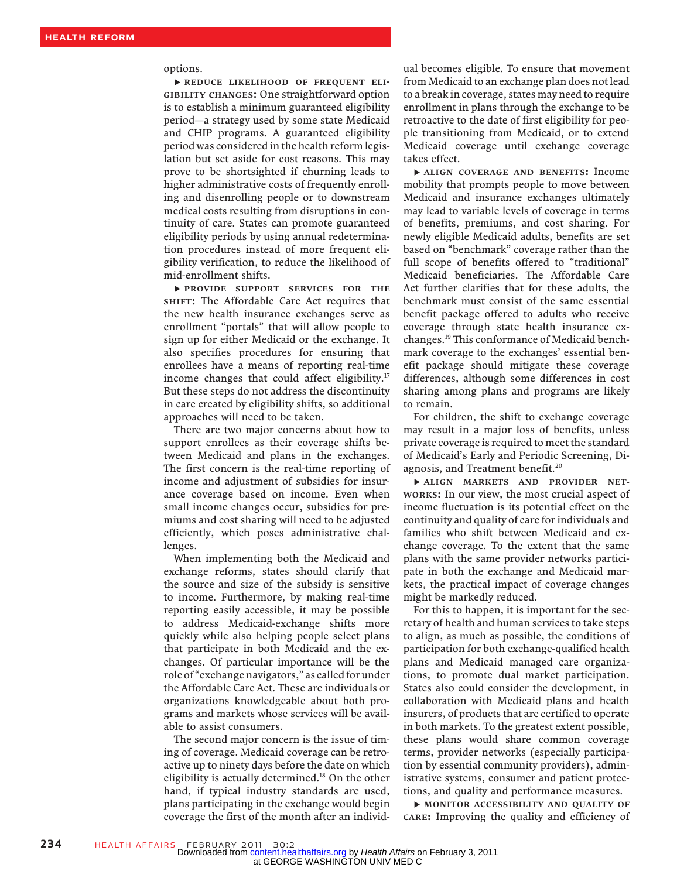#### options.

▸ REDUCE LIKELIHOOD OF FREQUENT ELI-GIBILITY CHANGES: One straightforward option is to establish a minimum guaranteed eligibility period—a strategy used by some state Medicaid and CHIP programs. A guaranteed eligibility period was considered in the health reform legislation but set aside for cost reasons. This may prove to be shortsighted if churning leads to higher administrative costs of frequently enrolling and disenrolling people or to downstream medical costs resulting from disruptions in continuity of care. States can promote guaranteed eligibility periods by using annual redetermination procedures instead of more frequent eligibility verification, to reduce the likelihood of mid-enrollment shifts.

▸ PROVIDE SUPPORT SERVICES FOR THE SHIFT: The Affordable Care Act requires that the new health insurance exchanges serve as enrollment "portals" that will allow people to sign up for either Medicaid or the exchange. It also specifies procedures for ensuring that enrollees have a means of reporting real-time income changes that could affect eligibility.<sup>17</sup> But these steps do not address the discontinuity in care created by eligibility shifts, so additional approaches will need to be taken.

There are two major concerns about how to support enrollees as their coverage shifts between Medicaid and plans in the exchanges. The first concern is the real-time reporting of income and adjustment of subsidies for insurance coverage based on income. Even when small income changes occur, subsidies for premiums and cost sharing will need to be adjusted efficiently, which poses administrative challenges.

When implementing both the Medicaid and exchange reforms, states should clarify that the source and size of the subsidy is sensitive to income. Furthermore, by making real-time reporting easily accessible, it may be possible to address Medicaid-exchange shifts more quickly while also helping people select plans that participate in both Medicaid and the exchanges. Of particular importance will be the role of "exchange navigators," as called for under the Affordable Care Act. These are individuals or organizations knowledgeable about both programs and markets whose services will be available to assist consumers.

The second major concern is the issue of timing of coverage. Medicaid coverage can be retroactive up to ninety days before the date on which eligibility is actually determined.<sup>18</sup> On the other hand, if typical industry standards are used, plans participating in the exchange would begin coverage the first of the month after an individ-

ual becomes eligible. To ensure that movement from Medicaid to an exchange plan does not lead to a break in coverage, states may need to require enrollment in plans through the exchange to be retroactive to the date of first eligibility for people transitioning from Medicaid, or to extend Medicaid coverage until exchange coverage takes effect.

▸ ALIGN COVERAGE AND BENEFITS: Income mobility that prompts people to move between Medicaid and insurance exchanges ultimately may lead to variable levels of coverage in terms of benefits, premiums, and cost sharing. For newly eligible Medicaid adults, benefits are set based on "benchmark" coverage rather than the full scope of benefits offered to "traditional" Medicaid beneficiaries. The Affordable Care Act further clarifies that for these adults, the benchmark must consist of the same essential benefit package offered to adults who receive coverage through state health insurance exchanges.19 This conformance of Medicaid benchmark coverage to the exchanges' essential benefit package should mitigate these coverage differences, although some differences in cost sharing among plans and programs are likely to remain.

For children, the shift to exchange coverage may result in a major loss of benefits, unless private coverage is required to meet the standard of Medicaid's Early and Periodic Screening, Diagnosis, and Treatment benefit.<sup>20</sup>

▸ ALIGN MARKETS AND PROVIDER NET-WORKS: In our view, the most crucial aspect of income fluctuation is its potential effect on the continuity and quality of care for individuals and families who shift between Medicaid and exchange coverage. To the extent that the same plans with the same provider networks participate in both the exchange and Medicaid markets, the practical impact of coverage changes might be markedly reduced.

For this to happen, it is important for the secretary of health and human services to take steps to align, as much as possible, the conditions of participation for both exchange-qualified health plans and Medicaid managed care organizations, to promote dual market participation. States also could consider the development, in collaboration with Medicaid plans and health insurers, of products that are certified to operate in both markets. To the greatest extent possible, these plans would share common coverage terms, provider networks (especially participation by essential community providers), administrative systems, consumer and patient protections, and quality and performance measures.

▸ MONITOR ACCESSIBILITY AND QUALITY OF CARE: Improving the quality and efficiency of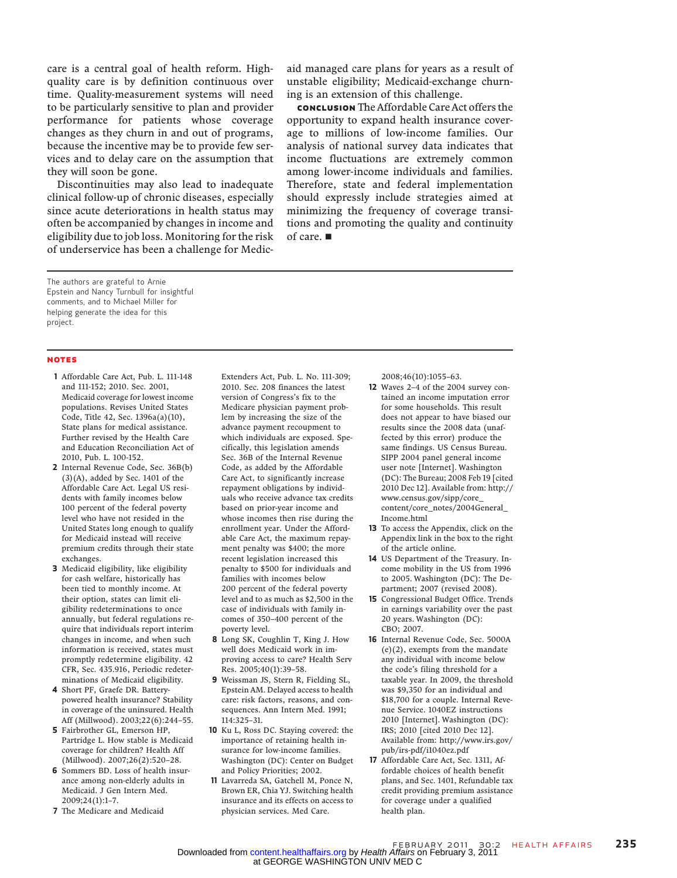care is a central goal of health reform. Highquality care is by definition continuous over time. Quality-measurement systems will need to be particularly sensitive to plan and provider performance for patients whose coverage changes as they churn in and out of programs, because the incentive may be to provide few services and to delay care on the assumption that they will soon be gone.

Discontinuities may also lead to inadequate clinical follow-up of chronic diseases, especially since acute deteriorations in health status may often be accompanied by changes in income and eligibility due to job loss. Monitoring for the risk of underservice has been a challenge for Medicaid managed care plans for years as a result of unstable eligibility; Medicaid-exchange churning is an extension of this challenge.

conclusion The Affordable Care Act offers the opportunity to expand health insurance coverage to millions of low-income families. Our analysis of national survey data indicates that income fluctuations are extremely common among lower-income individuals and families. Therefore, state and federal implementation should expressly include strategies aimed at minimizing the frequency of coverage transitions and promoting the quality and continuity of care. ■

The authors are grateful to Arnie Epstein and Nancy Turnbull for insightful comments, and to Michael Miller for helping generate the idea for this project.

#### NOTES

- 1 Affordable Care Act, Pub. L. 111-148 and 111-152; 2010. Sec. 2001, Medicaid coverage for lowest income populations. Revises United States Code, Title 42, Sec. 1396a(a)(10), State plans for medical assistance. Further revised by the Health Care and Education Reconciliation Act of 2010, Pub. L. 100-152.
- 2 Internal Revenue Code, Sec. 36B(b)  $(3)(A)$ , added by Sec. 1401 of the Affordable Care Act. Legal US residents with family incomes below 100 percent of the federal poverty level who have not resided in the United States long enough to qualify for Medicaid instead will receive premium credits through their state exchanges.
- 3 Medicaid eligibility, like eligibility for cash welfare, historically has been tied to monthly income. At their option, states can limit eligibility redeterminations to once annually, but federal regulations require that individuals report interim changes in income, and when such information is received, states must promptly redetermine eligibility. 42 CFR, Sec. 435.916, Periodic redeterminations of Medicaid eligibility.
- 4 Short PF, Graefe DR. Batterypowered health insurance? Stability in coverage of the uninsured. Health Aff (Millwood). 2003;22(6):244–55.
- 5 Fairbrother GL, Emerson HP, Partridge L. How stable is Medicaid coverage for children? Health Aff (Millwood). 2007;26(2):520–28.
- 6 Sommers BD. Loss of health insurance among non-elderly adults in Medicaid. J Gen Intern Med. 2009;24(1):1–7.
- 7 The Medicare and Medicaid

Extenders Act, Pub. L. No. 111-309; 2010. Sec. 208 finances the latest version of Congress's fix to the Medicare physician payment problem by increasing the size of the advance payment recoupment to which individuals are exposed. Specifically, this legislation amends Sec. 36B of the Internal Revenue Code, as added by the Affordable Care Act, to significantly increase repayment obligations by individuals who receive advance tax credits based on prior-year income and whose incomes then rise during the enrollment year. Under the Affordable Care Act, the maximum repayment penalty was \$400; the more recent legislation increased this penalty to \$500 for individuals and families with incomes below 200 percent of the federal poverty level and to as much as \$2,500 in the case of individuals with family incomes of 350–400 percent of the poverty level.

- 8 Long SK, Coughlin T, King J. How well does Medicaid work in improving access to care? Health Serv Res. 2005;40(1):39–58.
- 9 Weissman JS, Stern R, Fielding SL, Epstein AM. Delayed access to health care: risk factors, reasons, and consequences. Ann Intern Med. 1991; 114:325–31.
- 10 Ku L, Ross DC. Staying covered: the importance of retaining health insurance for low-income families. Washington (DC): Center on Budget and Policy Priorities; 2002.
- 11 Lavarreda SA, Gatchell M, Ponce N, Brown ER, Chia YJ. Switching health insurance and its effects on access to physician services. Med Care.

2008;46(10):1055–63.

- 12 Waves 2–4 of the 2004 survey contained an income imputation error for some households. This result does not appear to have biased our results since the 2008 data (unaffected by this error) produce the same findings. US Census Bureau. SIPP 2004 panel general income user note [Internet]. Washington (DC): The Bureau; 2008 Feb 19 [cited 2010 Dec 12]. Available from: http:// www.census.gov/sipp/core\_ content/core\_notes/2004General\_ Income.html
- 13 To access the Appendix, click on the Appendix link in the box to the right of the article online.
- 14 US Department of the Treasury. Income mobility in the US from 1996 to 2005. Washington (DC): The Department; 2007 (revised 2008).
- 15 Congressional Budget Office. Trends in earnings variability over the past 20 years. Washington (DC): CBO; 2007.
- 16 Internal Revenue Code, Sec. 5000A (e)(2), exempts from the mandate any individual with income below the code's filing threshold for a taxable year. In 2009, the threshold was \$9,350 for an individual and \$18,700 for a couple. Internal Revenue Service. 1040EZ instructions 2010 [Internet]. Washington (DC): IRS; 2010 [cited 2010 Dec 12]. Available from: http://www.irs.gov/ pub/irs-pdf/i1040ez.pdf
- 17 Affordable Care Act, Sec. 1311, Affordable choices of health benefit plans, and Sec. 1401, Refundable tax credit providing premium assistance for coverage under a qualified health plan.